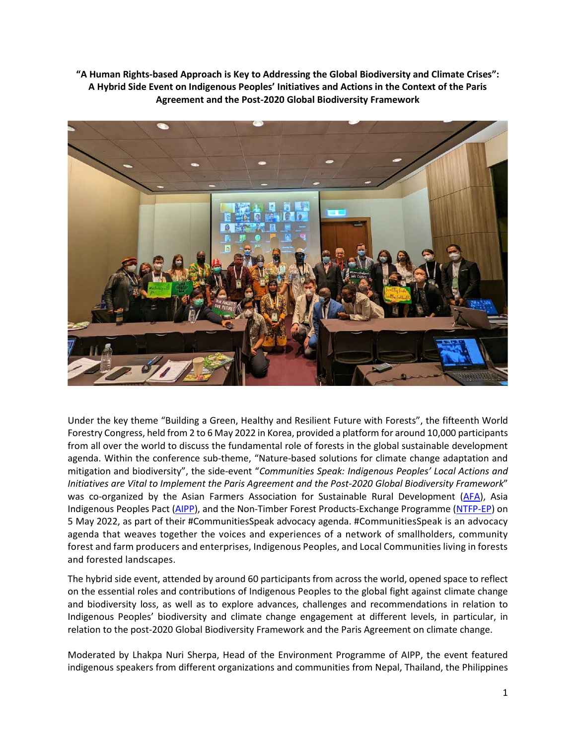**"A Human Rights-based Approach is Key to Addressing the Global Biodiversity and Climate Crises": A Hybrid Side Event on Indigenous Peoples' Initiatives and Actions in the Context of the Paris Agreement and the Post-2020 Global Biodiversity Framework**



Under the key theme "Building a Green, Healthy and Resilient Future with Forests", the fifteenth World Forestry Congress, held from 2 to 6 May 2022 in Korea, provided a platform for around 10,000 participants from all over the world to discuss the fundamental role of forests in the global sustainable development agenda. Within the conference sub-theme, "Nature-based solutions for climate change adaptation and mitigation and biodiversity", the side-event "*Communities Speak: Indigenous Peoples' Local Actions and Initiatives are Vital to Implement the Paris Agreement and the Post-2020 Global Biodiversity Framework*" was co-organized by the Asian Farmers Association for Sustainable Rural Development [\(AFA\)](https://asianfarmers.org/), Asia Indigenous Peoples Pact [\(AIPP\)](http://www.aippnet.org/), and the Non-Timber Forest Products-Exchange Programme [\(NTFP-EP\)](https://ntfp.org/) on 5 May 2022, as part of their #CommunitiesSpeak advocacy agenda. #CommunitiesSpeak is an advocacy agenda that weaves together the voices and experiences of a network of smallholders, community forest and farm producers and enterprises, Indigenous Peoples, and Local Communities living in forests and forested landscapes.

The hybrid side event, attended by around 60 participants from across the world, opened space to reflect on the essential roles and contributions of Indigenous Peoples to the global fight against climate change and biodiversity loss, as well as to explore advances, challenges and recommendations in relation to Indigenous Peoples' biodiversity and climate change engagement at different levels, in particular, in relation to the post-2020 Global Biodiversity Framework and the Paris Agreement on climate change.

Moderated by Lhakpa Nuri Sherpa, Head of the Environment Programme of AIPP, the event featured indigenous speakers from different organizations and communities from Nepal, Thailand, the Philippines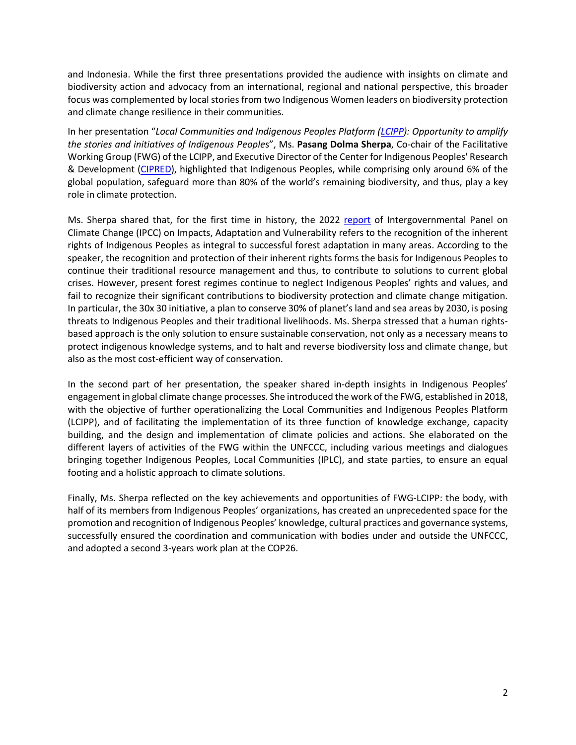and Indonesia. While the first three presentations provided the audience with insights on climate and biodiversity action and advocacy from an international, regional and national perspective, this broader focus was complemented by local stories from two Indigenous Women leaders on biodiversity protection and climate change resilience in their communities.

In her presentation "*Local Communities and Indigenous Peoples Platform [\(LCIPP\)](https://lcipp.unfccc.int/homepage): Opportunity to amplify the stories and initiatives of Indigenous People*s", Ms. **Pasang Dolma Sherpa**, Co-chair of the Facilitative Working Group (FWG) of the LCIPP, and Executive Director of the Center for Indigenous Peoples' Research & Development [\(CIPRED\)](https://www.cipred.org.np/), highlighted that Indigenous Peoples, while comprising only around 6% of the global population, safeguard more than 80% of the world's remaining biodiversity, and thus, play a key role in climate protection.

Ms. Sherpa shared that, for the first time in history, the 2022 [report](https://www.ipcc.ch/report/ar6/wg2/) of Intergovernmental Panel on Climate Change (IPCC) on Impacts, Adaptation and Vulnerability refers to the recognition of the inherent rights of Indigenous Peoples as integral to successful forest adaptation in many areas. According to the speaker, the recognition and protection of their inherent rights forms the basis for Indigenous Peoples to continue their traditional resource management and thus, to contribute to solutions to current global crises. However, present forest regimes continue to neglect Indigenous Peoples' rights and values, and fail to recognize their significant contributions to biodiversity protection and climate change mitigation. In particular, the 30x 30 initiative, a plan to conserve 30% of planet's land and sea areas by 2030, is posing threats to Indigenous Peoples and their traditional livelihoods. Ms. Sherpa stressed that a human rightsbased approach is the only solution to ensure sustainable conservation, not only as a necessary means to protect indigenous knowledge systems, and to halt and reverse biodiversity loss and climate change, but also as the most cost-efficient way of conservation.

In the second part of her presentation, the speaker shared in-depth insights in Indigenous Peoples' engagement in global climate change processes. She introduced the work of the FWG, established in 2018, with the objective of further operationalizing the Local Communities and Indigenous Peoples Platform (LCIPP), and of facilitating the implementation of its three function of knowledge exchange, capacity building, and the design and implementation of climate policies and actions. She elaborated on the different layers of activities of the FWG within the UNFCCC, including various meetings and dialogues bringing together Indigenous Peoples, Local Communities (IPLC), and state parties, to ensure an equal footing and a holistic approach to climate solutions.

Finally, Ms. Sherpa reflected on the key achievements and opportunities of FWG-LCIPP: the body, with half of its members from Indigenous Peoples' organizations, has created an unprecedented space for the promotion and recognition of Indigenous Peoples' knowledge, cultural practices and governance systems, successfully ensured the coordination and communication with bodies under and outside the UNFCCC, and adopted a second 3-years work plan at the COP26.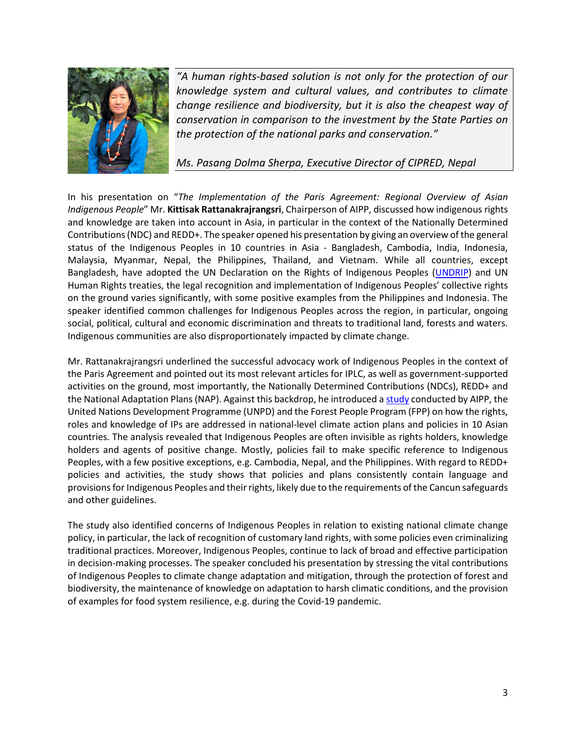

*"A human rights-based solution is not only for the protection of our knowledge system and cultural values, and contributes to climate change resilience and biodiversity, but it is also the cheapest way of conservation in comparison to the investment by the State Parties on the protection of the national parks and conservation."* 

*Ms. Pasang Dolma Sherpa, Executive Director of CIPRED, Nepal*

In his presentation on "*The Implementation of the Paris Agreement: Regional Overview of Asian Indigenous People*" Mr. **Kittisak Rattanakrajrangsri**, Chairperson of AIPP, discussed how indigenous rights and knowledge are taken into account in Asia, in particular in the context of the Nationally Determined Contributions (NDC) and REDD+. The speaker opened his presentation by giving an overview of the general status of the Indigenous Peoples in 10 countries in Asia - Bangladesh, Cambodia, India, Indonesia, Malaysia, Myanmar, Nepal, the Philippines, Thailand, and Vietnam. While all countries, except Bangladesh, have adopted the UN Declaration on the Rights of Indigenous Peoples [\(UNDRIP\)](https://www.un.org/development/desa/indigenouspeoples/declaration-on-the-rights-of-indigenous-peoples.html) and UN Human Rights treaties, the legal recognition and implementation of Indigenous Peoples' collective rights on the ground varies significantly, with some positive examples from the Philippines and Indonesia. The speaker identified common challenges for Indigenous Peoples across the region, in particular, ongoing social, political, cultural and economic discrimination and threats to traditional land, forests and waters. Indigenous communities are also disproportionately impacted by climate change.

Mr. Rattanakrajrangsri underlined the successful advocacy work of Indigenous Peoples in the context of the Paris Agreement and pointed out its most relevant articles for IPLC, as well as government-supported activities on the ground, most importantly, the Nationally Determined Contributions (NDCs), REDD+ and the National Adaptation Plans (NAP). Against this backdrop, he introduced [a study](https://aippnet.org/press-release-failure-recognise-indigenous-rights-derail-achievement-global-climate-pledges-case-studies-asia/) conducted by AIPP, the United Nations Development Programme (UNPD) and the Forest People Program (FPP) on how the rights, roles and knowledge of IPs are addressed in national-level climate action plans and policies in 10 Asian countries*.* The analysis revealed that Indigenous Peoples are often invisible as rights holders, knowledge holders and agents of positive change. Mostly, policies fail to make specific reference to Indigenous Peoples, with a few positive exceptions, e.g. Cambodia, Nepal, and the Philippines. With regard to REDD+ policies and activities, the study shows that policies and plans consistently contain language and provisions for Indigenous Peoples and their rights, likely due to the requirements of the Cancun safeguards and other guidelines.

The study also identified concerns of Indigenous Peoples in relation to existing national climate change policy, in particular, the lack of recognition of customary land rights, with some policies even criminalizing traditional practices. Moreover, Indigenous Peoples, continue to lack of broad and effective participation in decision-making processes. The speaker concluded his presentation by stressing the vital contributions of Indigenous Peoples to climate change adaptation and mitigation, through the protection of forest and biodiversity, the maintenance of knowledge on adaptation to harsh climatic conditions, and the provision of examples for food system resilience, e.g. during the Covid-19 pandemic.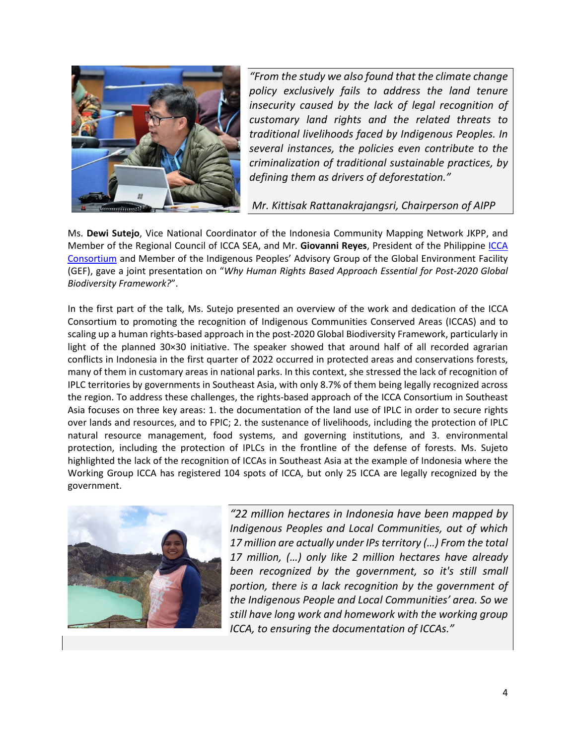

*"From the study we also found that the climate change policy exclusively fails to address the land tenure insecurity caused by the lack of legal recognition of customary land rights and the related threats to traditional livelihoods faced by Indigenous Peoples. In several instances, the policies even contribute to the criminalization of traditional sustainable practices, by defining them as drivers of deforestation."*

*Mr. Kittisak Rattanakrajangsri, Chairperson of AIPP*

Ms. **Dewi Sutejo**, Vice National Coordinator of the Indonesia Community Mapping Network JKPP, and Member of the Regional Council of ICCA SEA, and Mr. **Giovanni Reyes**, President of the Philippine [ICCA](https://www.iccaconsortium.org/)  [Consortium](https://www.iccaconsortium.org/) and Member of the Indigenous Peoples' Advisory Group of the Global Environment Facility (GEF), gave a joint presentation on "*Why Human Rights Based Approach Essential for Post-2020 Global Biodiversity Framework?*".

In the first part of the talk, Ms. Sutejo presented an overview of the work and dedication of the ICCA Consortium to promoting the recognition of Indigenous Communities Conserved Areas (ICCAS) and to scaling up a human rights-based approach in the post-2020 Global Biodiversity Framework, particularly in light of the planned 30×30 initiative. The speaker showed that around half of all recorded agrarian conflicts in Indonesia in the first quarter of 2022 occurred in protected areas and conservations forests, many of them in customary areas in national parks. In this context, she stressed the lack of recognition of IPLC territories by governments in Southeast Asia, with only 8.7% of them being legally recognized across the region. To address these challenges, the rights-based approach of the ICCA Consortium in Southeast Asia focuses on three key areas: 1. the documentation of the land use of IPLC in order to secure rights over lands and resources, and to FPIC; 2. the sustenance of livelihoods, including the protection of IPLC natural resource management, food systems, and governing institutions, and 3. environmental protection, including the protection of IPLCs in the frontline of the defense of forests. Ms. Sujeto highlighted the lack of the recognition of ICCAs in Southeast Asia at the example of Indonesia where the Working Group ICCA has registered 104 spots of ICCA, but only 25 ICCA are legally recognized by the government.



*"22 million hectares in Indonesia have been mapped by Indigenous Peoples and Local Communities, out of which 17 million are actually under IPs territory (…) From the total 17 million, (…) only like 2 million hectares have already been recognized by the government, so it's still small portion, there is a lack recognition by the government of the Indigenous People and Local Communities' area. So we still have long work and homework with the working group ICCA, to ensuring the documentation of ICCAs."*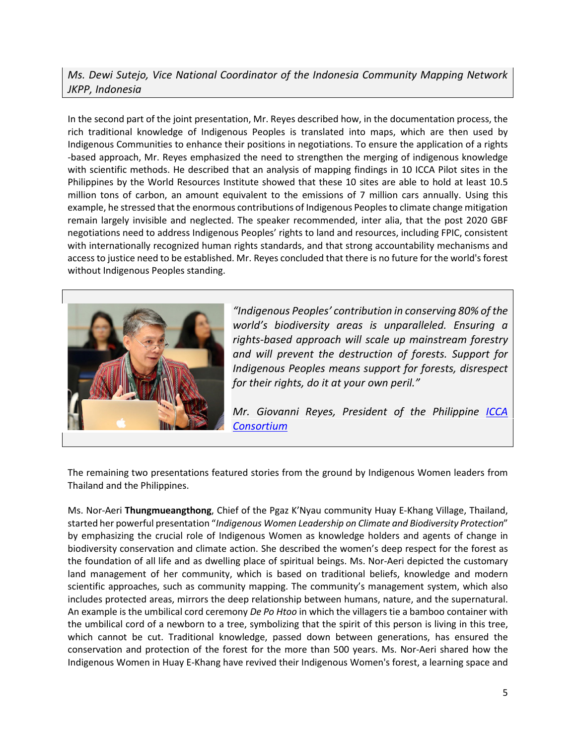## *Ms. Dewi Sutejo, Vice National Coordinator of the Indonesia Community Mapping Network JKPP, Indonesia*

In the second part of the joint presentation, Mr. Reyes described how, in the documentation process, the rich traditional knowledge of Indigenous Peoples is translated into maps, which are then used by Indigenous Communities to enhance their positions in negotiations. To ensure the application of a rights -based approach, Mr. Reyes emphasized the need to strengthen the merging of indigenous knowledge with scientific methods. He described that an analysis of mapping findings in 10 ICCA Pilot sites in the Philippines by the World Resources Institute showed that these 10 sites are able to hold at least 10.5 million tons of carbon, an amount equivalent to the emissions of 7 million cars annually. Using this example, he stressed that the enormous contributions of Indigenous Peoples to climate change mitigation remain largely invisible and neglected. The speaker recommended, inter alia, that the post 2020 GBF negotiations need to address Indigenous Peoples' rights to land and resources, including FPIC, consistent with internationally recognized human rights standards, and that strong accountability mechanisms and access to justice need to be established. Mr. Reyes concluded that there is no future for the world's forest without Indigenous Peoples standing.



*"Indigenous Peoples' contribution in conserving 80% of the world's biodiversity areas is unparalleled. Ensuring a rights-based approach will scale up mainstream forestry and will prevent the destruction of forests. Support for Indigenous Peoples means support for forests, disrespect for their rights, do it at your own peril."*

*Mr. Giovanni Reyes, President of the Philippine [ICCA](https://www.iccaconsortium.org/)  [Consortium](https://www.iccaconsortium.org/)*

The remaining two presentations featured stories from the ground by Indigenous Women leaders from Thailand and the Philippines.

Ms. Nor-Aeri **Thungmueangthong**, Chief of the Pgaz K'Nyau community Huay E-Khang Village, Thailand, started her powerful presentation "*Indigenous Women Leadership on Climate and Biodiversity Protection*" by emphasizing the crucial role of Indigenous Women as knowledge holders and agents of change in biodiversity conservation and climate action. She described the women's deep respect for the forest as the foundation of all life and as dwelling place of spiritual beings. Ms. Nor-Aeri depicted the customary land management of her community, which is based on traditional beliefs, knowledge and modern scientific approaches, such as community mapping. The community's management system, which also includes protected areas, mirrors the deep relationship between humans, nature, and the supernatural. An example is the umbilical cord ceremony *De Po Htoo* in which the villagers tie a bamboo container with the umbilical cord of a newborn to a tree, symbolizing that the spirit of this person is living in this tree, which cannot be cut. Traditional knowledge, passed down between generations, has ensured the conservation and protection of the forest for the more than 500 years. Ms. Nor-Aeri shared how the Indigenous Women in Huay E-Khang have revived their Indigenous Women's forest, a learning space and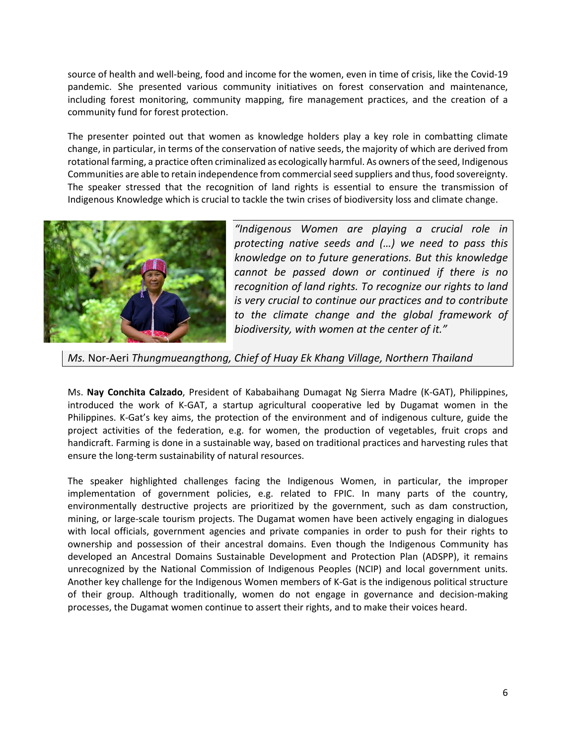source of health and well-being, food and income for the women, even in time of crisis, like the Covid-19 pandemic. She presented various community initiatives on forest conservation and maintenance, including forest monitoring, community mapping, fire management practices, and the creation of a community fund for forest protection.

The presenter pointed out that women as knowledge holders play a key role in combatting climate change, in particular, in terms of the conservation of native seeds, the majority of which are derived from rotational farming, a practice often criminalized as ecologically harmful. As owners of the seed, Indigenous Communities are able to retain independence from commercial seed suppliers and thus, food sovereignty. The speaker stressed that the recognition of land rights is essential to ensure the transmission of Indigenous Knowledge which is crucial to tackle the twin crises of biodiversity loss and climate change.



*"Indigenous Women are playing a crucial role in protecting native seeds and (…) we need to pass this knowledge on to future generations. But this knowledge cannot be passed down or continued if there is no recognition of land rights. To recognize our rights to land is very crucial to continue our practices and to contribute to the climate change and the global framework of biodiversity, with women at the center of it."* 

*Ms.* Nor-Aeri *Thungmueangthong, Chief of Huay Ek Khang Village, Northern Thailand*

Ms. **Nay Conchita Calzado**, President of Kababaihang Dumagat Ng Sierra Madre (K-GAT), Philippines, introduced the work of K-GAT, a startup agricultural cooperative led by Dugamat women in the Philippines. K-Gat's key aims, the protection of the environment and of indigenous culture, guide the project activities of the federation, e.g. for women, the production of vegetables, fruit crops and handicraft. Farming is done in a sustainable way, based on traditional practices and harvesting rules that ensure the long-term sustainability of natural resources.

The speaker highlighted challenges facing the Indigenous Women, in particular, the improper implementation of government policies, e.g. related to FPIC. In many parts of the country, environmentally destructive projects are prioritized by the government, such as dam construction, mining, or large-scale tourism projects. The Dugamat women have been actively engaging in dialogues with local officials, government agencies and private companies in order to push for their rights to ownership and possession of their ancestral domains. Even though the Indigenous Community has developed an Ancestral Domains Sustainable Development and Protection Plan (ADSPP), it remains unrecognized by the National Commission of Indigenous Peoples (NCIP) and local government units. Another key challenge for the Indigenous Women members of K-Gat is the indigenous political structure of their group. Although traditionally, women do not engage in governance and decision-making processes, the Dugamat women continue to assert their rights, and to make their voices heard.